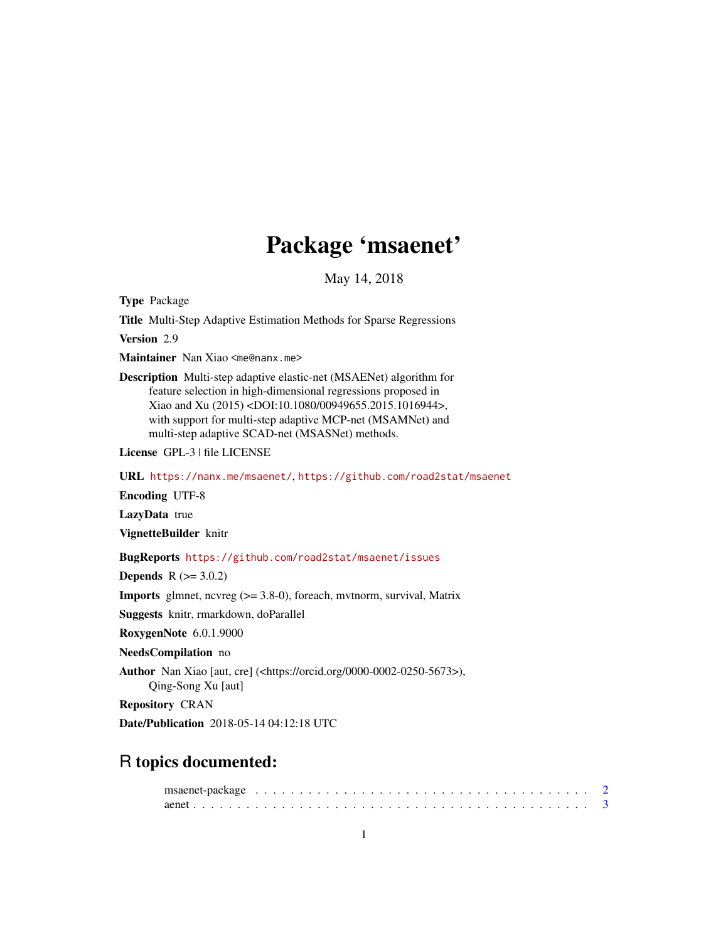## Package 'msaenet'

May 14, 2018

<span id="page-0-0"></span>Type Package

Title Multi-Step Adaptive Estimation Methods for Sparse Regressions

Version 2.9

Maintainer Nan Xiao <me@nanx.me>

Description Multi-step adaptive elastic-net (MSAENet) algorithm for feature selection in high-dimensional regressions proposed in Xiao and Xu (2015) <DOI:10.1080/00949655.2015.1016944>, with support for multi-step adaptive MCP-net (MSAMNet) and multi-step adaptive SCAD-net (MSASNet) methods.

License GPL-3 | file LICENSE

URL <https://nanx.me/msaenet/>, <https://github.com/road2stat/msaenet>

Encoding UTF-8

LazyData true

VignetteBuilder knitr

BugReports <https://github.com/road2stat/msaenet/issues>

**Depends**  $R$  ( $> = 3.0.2$ )

**Imports** glmnet, ncvreg  $(>= 3.8-0)$ , foreach, mvtnorm, survival, Matrix

Suggests knitr, rmarkdown, doParallel

RoxygenNote 6.0.1.9000

NeedsCompilation no

Author Nan Xiao [aut, cre] (<https://orcid.org/0000-0002-0250-5673>), Qing-Song Xu [aut]

Repository CRAN

Date/Publication 2018-05-14 04:12:18 UTC

## R topics documented: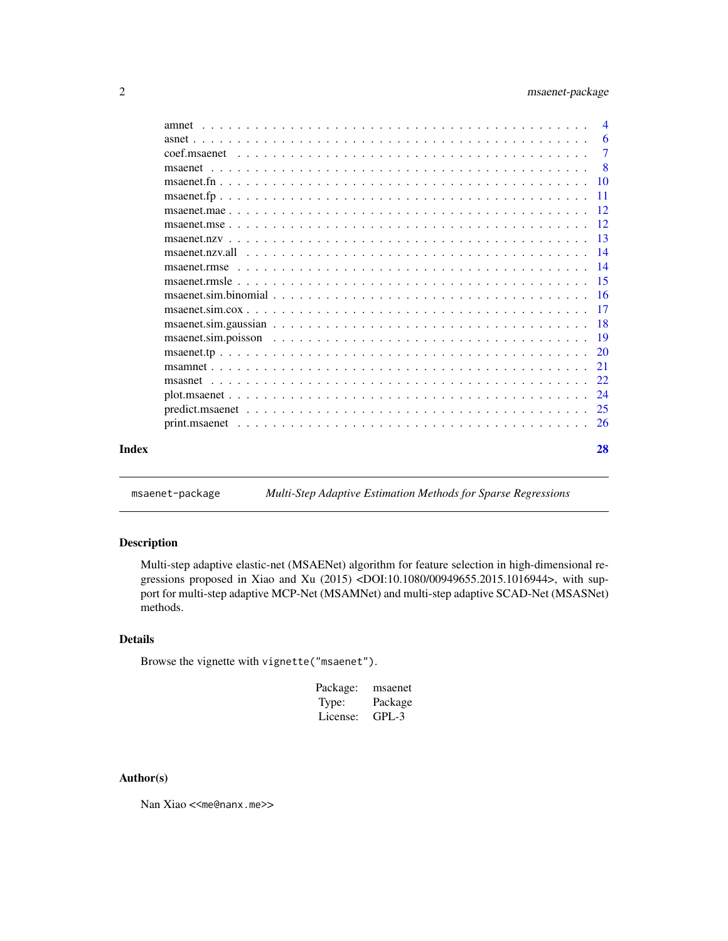### <span id="page-1-0"></span>2 msaenet-package

|       | $\overline{4}$ |
|-------|----------------|
|       | -6             |
|       | $\overline{7}$ |
|       |                |
|       |                |
|       |                |
|       |                |
|       |                |
|       |                |
|       |                |
|       |                |
|       |                |
|       |                |
|       |                |
|       |                |
|       |                |
|       |                |
|       |                |
|       |                |
|       |                |
|       |                |
|       |                |
| Index | 28             |

msaenet-package *Multi-Step Adaptive Estimation Methods for Sparse Regressions*

### Description

Multi-step adaptive elastic-net (MSAENet) algorithm for feature selection in high-dimensional regressions proposed in Xiao and Xu (2015) <DOI:10.1080/00949655.2015.1016944>, with support for multi-step adaptive MCP-Net (MSAMNet) and multi-step adaptive SCAD-Net (MSASNet) methods.

#### Details

Browse the vignette with vignette("msaenet").

| Package: | msaenet |
|----------|---------|
| Type:    | Package |
| License: | GPL-3   |

### Author(s)

Nan Xiao <<me@nanx.me>>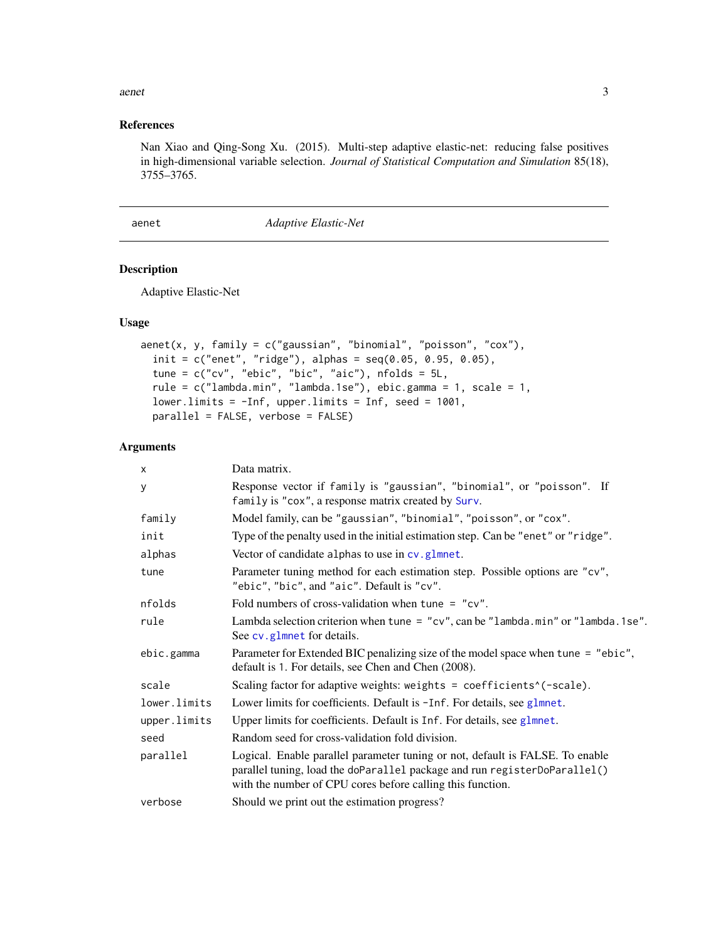#### <span id="page-2-0"></span>aenet 3

### References

Nan Xiao and Qing-Song Xu. (2015). Multi-step adaptive elastic-net: reducing false positives in high-dimensional variable selection. *Journal of Statistical Computation and Simulation* 85(18), 3755–3765.

<span id="page-2-1"></span>aenet *Adaptive Elastic-Net*

### Description

Adaptive Elastic-Net

#### Usage

```
aenet(x, y, family = c("gaussian", "binomial", "poisson", "cox"),
  init = c("enet", "ridge"), alpha = seq(0.05, 0.95, 0.05),tune = c("cv", "ebic", "bic", "aic"), nfolds = 5L,rule = c("lambda.min", "lambda.1se"), ebic.gamma = 1, scale = 1,
 lower.limits = -Inf, upper.limits = Inf, seed = 1001,
 parallel = FALSE, verbose = FALSE)
```
### Arguments

| $\times$     | Data matrix.                                                                                                                                                                                                             |
|--------------|--------------------------------------------------------------------------------------------------------------------------------------------------------------------------------------------------------------------------|
| y            | Response vector if family is "gaussian", "binomial", or "poisson". If<br>family is "cox", a response matrix created by Surv.                                                                                             |
| family       | Model family, can be "gaussian", "binomial", "poisson", or "cox".                                                                                                                                                        |
| init         | Type of the penalty used in the initial estimation step. Can be "enet" or "ridge".                                                                                                                                       |
| alphas       | Vector of candidate alphas to use in cv.glmnet.                                                                                                                                                                          |
| tune         | Parameter tuning method for each estimation step. Possible options are "cv",<br>"ebic", "bic", and "aic". Default is "cv".                                                                                               |
| nfolds       | Fold numbers of cross-validation when tune = $"cv"$ .                                                                                                                                                                    |
| rule         | Lambda selection criterion when tune = "cv", can be "lambda.min" or "lambda.1se".<br>See cv.glmnet for details.                                                                                                          |
| ebic.gamma   | Parameter for Extended BIC penalizing size of the model space when tune = "ebic",<br>default is 1. For details, see Chen and Chen (2008).                                                                                |
| scale        | Scaling factor for adaptive weights: weights = coefficients^(-scale).                                                                                                                                                    |
| lower.limits | Lower limits for coefficients. Default is -Inf. For details, see glmnet.                                                                                                                                                 |
| upper.limits | Upper limits for coefficients. Default is Inf. For details, see glmnet.                                                                                                                                                  |
| seed         | Random seed for cross-validation fold division.                                                                                                                                                                          |
| parallel     | Logical. Enable parallel parameter tuning or not, default is FALSE. To enable<br>parallel tuning, load the doParallel package and run registerDoParallel()<br>with the number of CPU cores before calling this function. |
| verbose      | Should we print out the estimation progress?                                                                                                                                                                             |
|              |                                                                                                                                                                                                                          |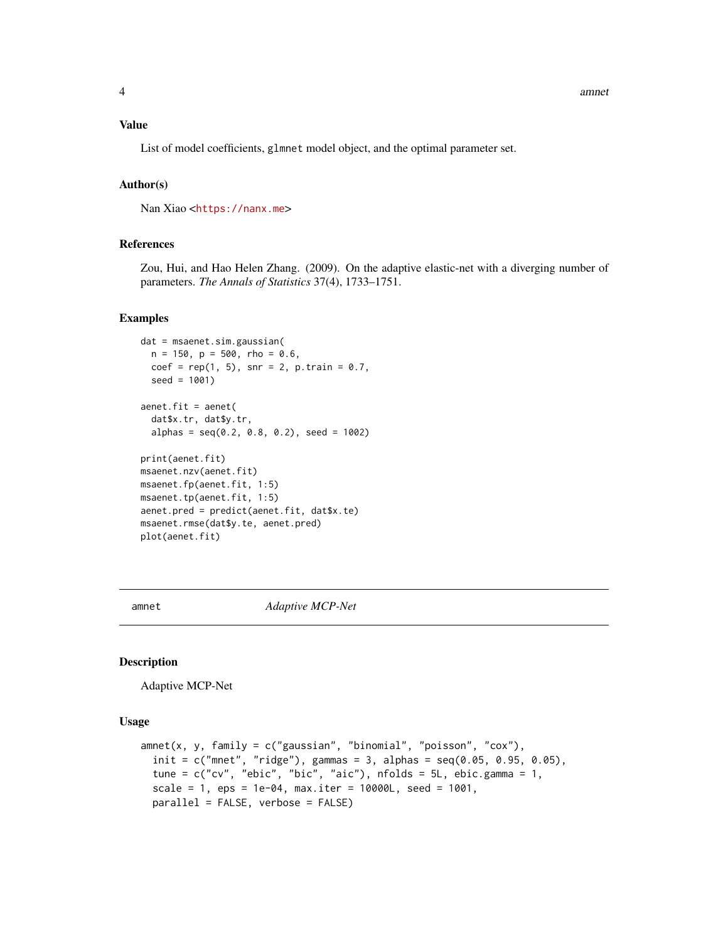#### <span id="page-3-0"></span>Value

List of model coefficients, glmnet model object, and the optimal parameter set.

#### Author(s)

Nan Xiao <<https://nanx.me>>

#### References

Zou, Hui, and Hao Helen Zhang. (2009). On the adaptive elastic-net with a diverging number of parameters. *The Annals of Statistics* 37(4), 1733–1751.

### Examples

```
dat = msaenet.sim.gaussian(
  n = 150, p = 500, rho = 0.6,
  coef = rep(1, 5), snr = 2, p.train = 0.7,seed = 1001)
aenet.fit = aenet(
  dat$x.tr, dat$y.tr,
  alpha = seq(0.2, 0.8, 0.2), seed = 1002)
print(aenet.fit)
msaenet.nzv(aenet.fit)
msaenet.fp(aenet.fit, 1:5)
msaenet.tp(aenet.fit, 1:5)
aenet.pred = predict(aenet.fit, dat$x.te)
msaenet.rmse(dat$y.te, aenet.pred)
plot(aenet.fit)
```
amnet *Adaptive MCP-Net*

#### Description

Adaptive MCP-Net

#### Usage

```
amnet(x, y, family = c("gaussian", "binomial", "poisson", "cox"),
  init = c("mnet", "ridge"), gamma = 3, alphas = seq(0.05, 0.95, 0.05),tune = c("cv", "ebic", "bic", "aic"), n folds = 5L, ebic.gamma = 1,scale = 1, eps = 1e-04, max.iter = 10000L, seed = 1001,
 parallel = FALSE, verbose = FALSE)
```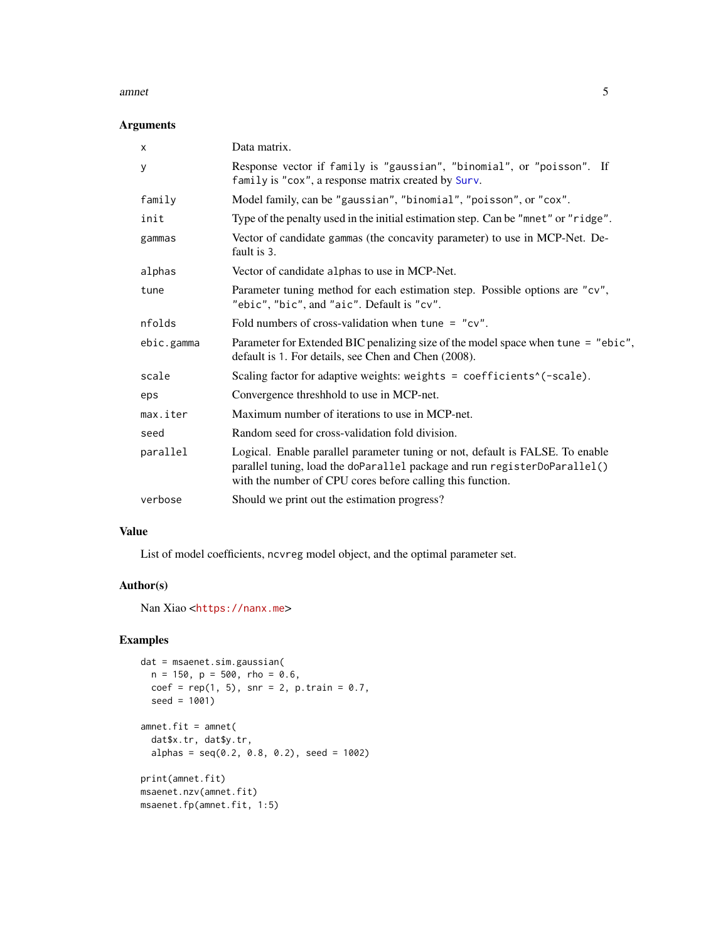#### <span id="page-4-0"></span>amnet 5

### Arguments

| $\mathsf{x}$ | Data matrix.                                                                                                                                                                                                             |
|--------------|--------------------------------------------------------------------------------------------------------------------------------------------------------------------------------------------------------------------------|
| У            | Response vector if family is "gaussian", "binomial", or "poisson". If<br>family is "cox", a response matrix created by Surv.                                                                                             |
| family       | Model family, can be "gaussian", "binomial", "poisson", or "cox".                                                                                                                                                        |
| init         | Type of the penalty used in the initial estimation step. Can be "mnet" or "ridge".                                                                                                                                       |
| gammas       | Vector of candidate gammas (the concavity parameter) to use in MCP-Net. De-<br>fault is 3.                                                                                                                               |
| alphas       | Vector of candidate alphas to use in MCP-Net.                                                                                                                                                                            |
| tune         | Parameter tuning method for each estimation step. Possible options are "cv",<br>"ebic", "bic", and "aic". Default is "cv".                                                                                               |
| nfolds       | Fold numbers of cross-validation when tune = $"cv"$ .                                                                                                                                                                    |
| ebic.gamma   | Parameter for Extended BIC penalizing size of the model space when tune = "ebic",<br>default is 1. For details, see Chen and Chen (2008).                                                                                |
| scale        | Scaling factor for adaptive weights: weights = coefficients^(-scale).                                                                                                                                                    |
| eps          | Convergence threshhold to use in MCP-net.                                                                                                                                                                                |
| max.iter     | Maximum number of iterations to use in MCP-net.                                                                                                                                                                          |
| seed         | Random seed for cross-validation fold division.                                                                                                                                                                          |
| parallel     | Logical. Enable parallel parameter tuning or not, default is FALSE. To enable<br>parallel tuning, load the doParallel package and run registerDoParallel()<br>with the number of CPU cores before calling this function. |
| verbose      | Should we print out the estimation progress?                                                                                                                                                                             |

### Value

List of model coefficients, ncvreg model object, and the optimal parameter set.

### Author(s)

Nan Xiao <<https://nanx.me>>

```
dat = msaenet.sim.gaussian(
 n = 150, p = 500, rho = 0.6,
  coef = rep(1, 5), snr = 2, p.train = 0.7,seed = 1001)
amnet.fit = amnet(dat$x.tr, dat$y.tr,
  alphas = seq(0.2, 0.8, 0.2), seed = 1002)
print(amnet.fit)
msaenet.nzv(amnet.fit)
msaenet.fp(amnet.fit, 1:5)
```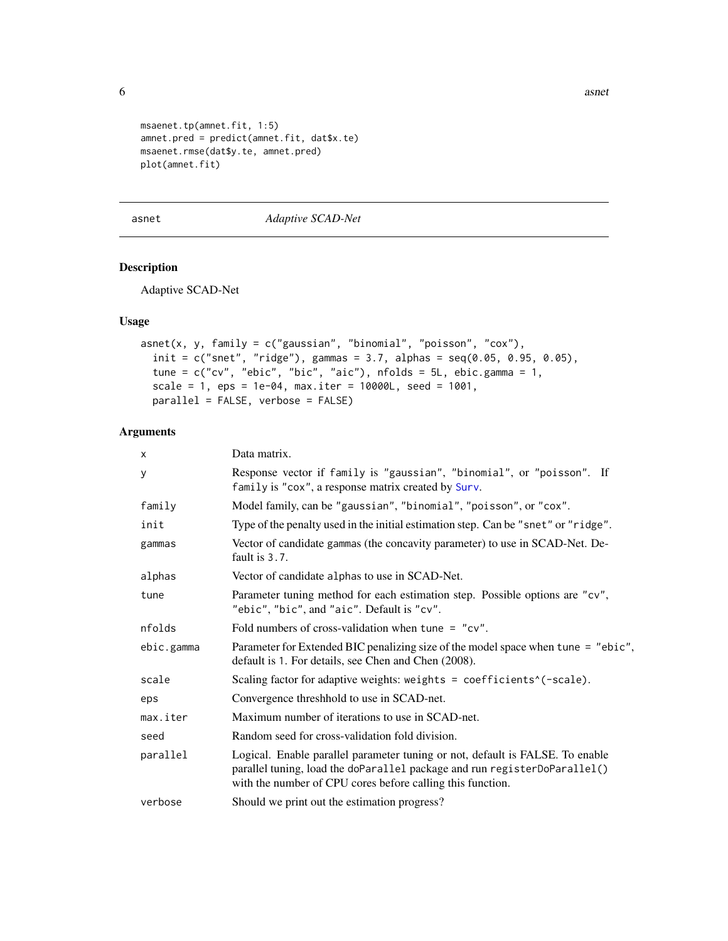6 asnet

```
msaenet.tp(amnet.fit, 1:5)
amnet.pred = predict(amnet.fit, dat$x.te)
msaenet.rmse(dat$y.te, amnet.pred)
plot(amnet.fit)
```
asnet *Adaptive SCAD-Net*

### Description

Adaptive SCAD-Net

### Usage

```
asnet(x, y, family = c("gaussian", "binomial", "poisson", "cox"),
  init = c("snet", "ridge"), gamma = 3.7, alphas = seq(0.05, 0.95, 0.05),tune = c("cv", "ebic", "bic", "aic"), nfolds = 5L, ebic.gamma = 1,
  scale = 1, eps = 1e-04, max.iter = 10000L, seed = 1001,
 parallel = FALSE, verbose = FALSE)
```
### Arguments

| x          | Data matrix.                                                                                                                                                                                                             |
|------------|--------------------------------------------------------------------------------------------------------------------------------------------------------------------------------------------------------------------------|
| У          | Response vector if family is "gaussian", "binomial", or "poisson". If<br>family is "cox", a response matrix created by Surv.                                                                                             |
| family     | Model family, can be "gaussian", "binomial", "poisson", or "cox".                                                                                                                                                        |
| init       | Type of the penalty used in the initial estimation step. Can be "snet" or "ridge".                                                                                                                                       |
| gammas     | Vector of candidate gammas (the concavity parameter) to use in SCAD-Net. De-<br>fault is 3.7.                                                                                                                            |
| alphas     | Vector of candidate alphas to use in SCAD-Net.                                                                                                                                                                           |
| tune       | Parameter tuning method for each estimation step. Possible options are "cv",<br>"ebic", "bic", and "aic". Default is "cv".                                                                                               |
| nfolds     | Fold numbers of cross-validation when tune = $"cv"$ .                                                                                                                                                                    |
| ebic.gamma | Parameter for Extended BIC penalizing size of the model space when tune = "ebic",<br>default is 1. For details, see Chen and Chen (2008).                                                                                |
| scale      | Scaling factor for adaptive weights: weights = coefficients^(-scale).                                                                                                                                                    |
| eps        | Convergence threshhold to use in SCAD-net.                                                                                                                                                                               |
| max.iter   | Maximum number of iterations to use in SCAD-net.                                                                                                                                                                         |
| seed       | Random seed for cross-validation fold division.                                                                                                                                                                          |
| parallel   | Logical. Enable parallel parameter tuning or not, default is FALSE. To enable<br>parallel tuning, load the doParallel package and run registerDoParallel()<br>with the number of CPU cores before calling this function. |
| verbose    | Should we print out the estimation progress?                                                                                                                                                                             |

<span id="page-5-0"></span>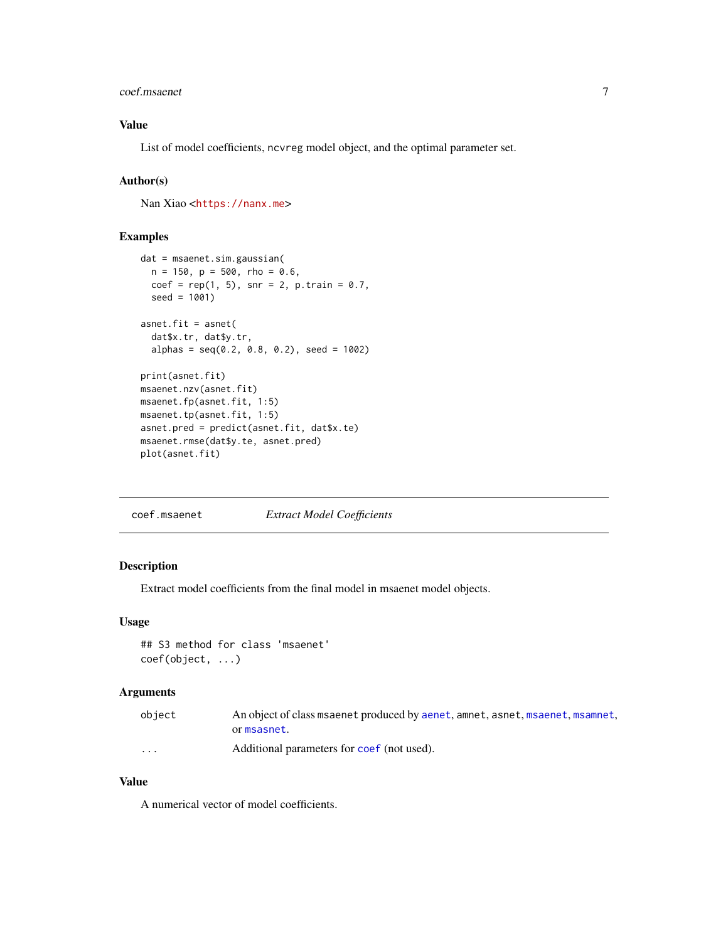#### <span id="page-6-0"></span>coef.msaenet 7

### Value

List of model coefficients, ncvreg model object, and the optimal parameter set.

### Author(s)

Nan Xiao <<https://nanx.me>>

### Examples

```
dat = msaenet.sim.gaussian(
  n = 150, p = 500, rho = 0.6,
  coef = rep(1, 5), snr = 2, p.train = 0.7,seed = 1001)
asnet.fit = asnet(
  dat$x.tr, dat$y.tr,
  alpha = seq(0.2, 0.8, 0.2), seed = 1002)
print(asnet.fit)
msaenet.nzv(asnet.fit)
msaenet.fp(asnet.fit, 1:5)
msaenet.tp(asnet.fit, 1:5)
asnet.pred = predict(asnet.fit, dat$x.te)
msaenet.rmse(dat$y.te, asnet.pred)
plot(asnet.fit)
```
coef.msaenet *Extract Model Coefficients*

### Description

Extract model coefficients from the final model in msaenet model objects.

### Usage

## S3 method for class 'msaenet' coef(object, ...)

### Arguments

| object   | An object of class msaenet produced by aenet, amnet, asnet, msaenet, msamnet, |
|----------|-------------------------------------------------------------------------------|
|          | ormsasnet.                                                                    |
| $\cdots$ | Additional parameters for coef (not used).                                    |

#### Value

A numerical vector of model coefficients.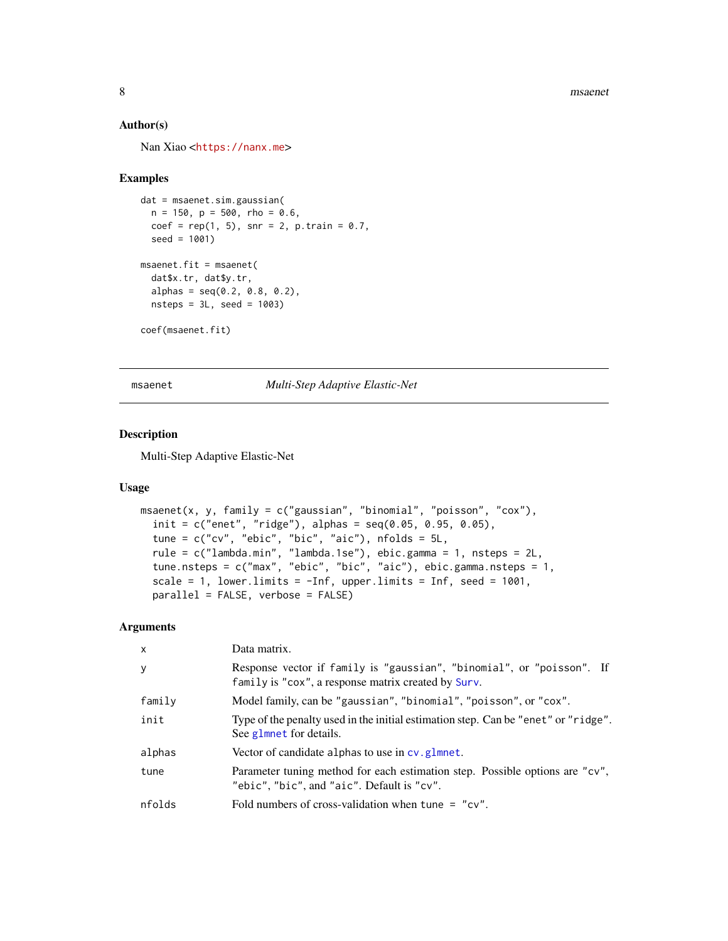<span id="page-7-0"></span>8 msaenet was a strong structure of the structure of the structure of the structure of the structure of the structure of the structure of the structure of the structure of the structure of the structure of the structure of

### Author(s)

Nan Xiao <<https://nanx.me>>

#### Examples

```
dat = msaenet.sim.gaussian(
  n = 150, p = 500, rho = 0.6,
  coef = rep(1, 5), snr = 2, p.train = 0.7,seed = 1001)
msaenet.fit = msaenet(
  dat$x.tr, dat$y.tr,
  alpha = seq(0.2, 0.8, 0.2),
  nsteps = 3L, seed = 1003)
coef(msaenet.fit)
```
<span id="page-7-1"></span>msaenet *Multi-Step Adaptive Elastic-Net*

### Description

Multi-Step Adaptive Elastic-Net

#### Usage

```
msaenet(x, y, family = c("gaussian", "binomial", "poisson", "cox"),
  init = c("enet", "ridge"), alphas = seq(0.05, 0.95, 0.05),
  tune = c("cv", "ebic", "bic", "aic"), nfolds = 5L,
  rule = c("lambda.min", "lambda.1se"), ebic.gamma = 1, nsteps = 2L,
  tune.nsteps = c("max", "ebic", "bic", "aic"), ebic.gamma.nsteps = 1,
  scale = 1, lower.limits = -Inf, upper.limits = Inf, seed = 1001,
  parallel = FALSE, verbose = FALSE)
```
### Arguments

| $\mathsf{x}$ | Data matrix.                                                                                                                 |
|--------------|------------------------------------------------------------------------------------------------------------------------------|
| y            | Response vector if family is "gaussian", "binomial", or "poisson". If<br>family is "cox", a response matrix created by Surv. |
| family       | Model family, can be "gaussian", "binomial", "poisson", or "cox".                                                            |
| init         | Type of the penalty used in the initial estimation step. Can be "enet" or "ridge".<br>See glmnet for details.                |
| alphas       | Vector of candidate alphas to use in cv. glmnet.                                                                             |
| tune         | Parameter tuning method for each estimation step. Possible options are "cv",<br>"ebic", "bic", and "aic". Default is "cv".   |
| nfolds       | Fold numbers of cross-validation when tune = $"cv"$ .                                                                        |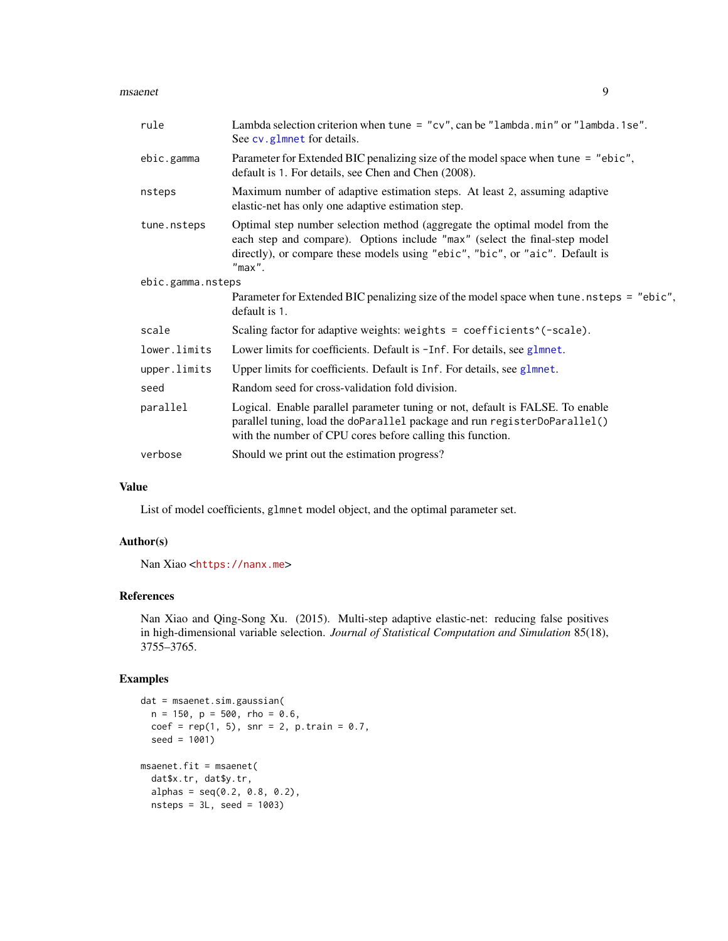#### <span id="page-8-0"></span>msaenet 9

| rule              | Lambda selection criterion when tune = $"cv",$ can be $"lambda a.m in"$ or $"lambda a.se".$<br>See cv.glmnet for details.                                                                                                                             |
|-------------------|-------------------------------------------------------------------------------------------------------------------------------------------------------------------------------------------------------------------------------------------------------|
| ebic.gamma        | Parameter for Extended BIC penalizing size of the model space when tune = "ebic",<br>default is 1. For details, see Chen and Chen (2008).                                                                                                             |
| nsteps            | Maximum number of adaptive estimation steps. At least 2, assuming adaptive<br>elastic-net has only one adaptive estimation step.                                                                                                                      |
| tune.nsteps       | Optimal step number selection method (aggregate the optimal model from the<br>each step and compare). Options include "max" (select the final-step model<br>directly), or compare these models using "ebic", "bic", or "aic". Default is<br>$"max"$ . |
| ebic.gamma.nsteps |                                                                                                                                                                                                                                                       |
|                   | Parameter for Extended BIC penalizing size of the model space when tune nsteps = "ebic",<br>default is 1.                                                                                                                                             |
| scale             | Scaling factor for adaptive weights: weights = $coefficients^(-scale)$ .                                                                                                                                                                              |
| lower.limits      | Lower limits for coefficients. Default is -Inf. For details, see glmnet.                                                                                                                                                                              |
| upper.limits      | Upper limits for coefficients. Default is Inf. For details, see glmnet.                                                                                                                                                                               |
| seed              | Random seed for cross-validation fold division.                                                                                                                                                                                                       |
| parallel          | Logical. Enable parallel parameter tuning or not, default is FALSE. To enable<br>parallel tuning, load the doParallel package and run registerDoParallel()<br>with the number of CPU cores before calling this function.                              |
| verbose           | Should we print out the estimation progress?                                                                                                                                                                                                          |

### Value

List of model coefficients, glmnet model object, and the optimal parameter set.

### Author(s)

Nan Xiao <<https://nanx.me>>

### References

Nan Xiao and Qing-Song Xu. (2015). Multi-step adaptive elastic-net: reducing false positives in high-dimensional variable selection. *Journal of Statistical Computation and Simulation* 85(18), 3755–3765.

```
dat = msaenet.sim.gaussian(
  n = 150, p = 500, rho = 0.6,
  coef = rep(1, 5), snr = 2, p.train = 0.7,seed = 1001)
msaenet.fit = msaenet(
  dat$x.tr, dat$y.tr,
  alpha = seq(0.2, 0.8, 0.2),
  nsteps = 3L, seed = 1003)
```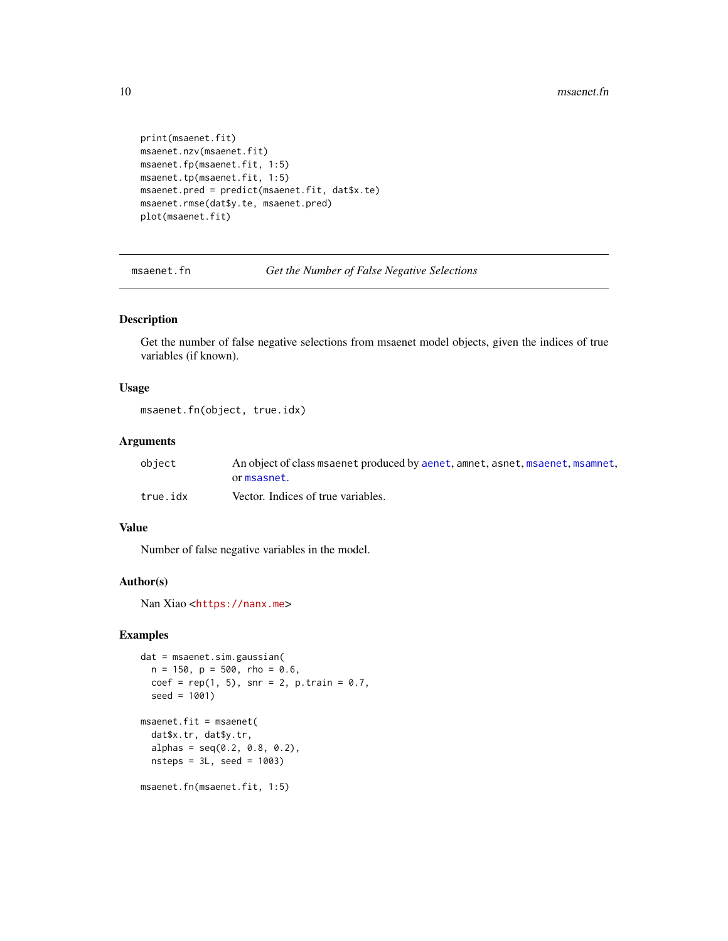```
print(msaenet.fit)
msaenet.nzv(msaenet.fit)
msaenet.fp(msaenet.fit, 1:5)
msaenet.tp(msaenet.fit, 1:5)
msaenet.pred = predict(msaenet.fit, dat$x.te)
msaenet.rmse(dat$y.te, msaenet.pred)
plot(msaenet.fit)
```
msaenet.fn *Get the Number of False Negative Selections*

### Description

Get the number of false negative selections from msaenet model objects, given the indices of true variables (if known).

### Usage

msaenet.fn(object, true.idx)

#### Arguments

| object   | An object of class msaenet produced by aenet, amnet, asnet, msaenet, msamnet, |
|----------|-------------------------------------------------------------------------------|
|          | or msasnet.                                                                   |
| true.idx | Vector. Indices of true variables.                                            |

#### Value

Number of false negative variables in the model.

### Author(s)

Nan Xiao <<https://nanx.me>>

```
dat = msaenet.sim.gaussian(
  n = 150, p = 500, rho = 0.6,
  coef = rep(1, 5), snr = 2, p.train = 0.7,seed = 1001)
msaenet.fit = msaenet(
  dat$x.tr, dat$y.tr,
  alpha = seq(0.2, 0.8, 0.2),
  nsteps = 3L, seed = 1003)
msaenet.fn(msaenet.fit, 1:5)
```
<span id="page-9-0"></span>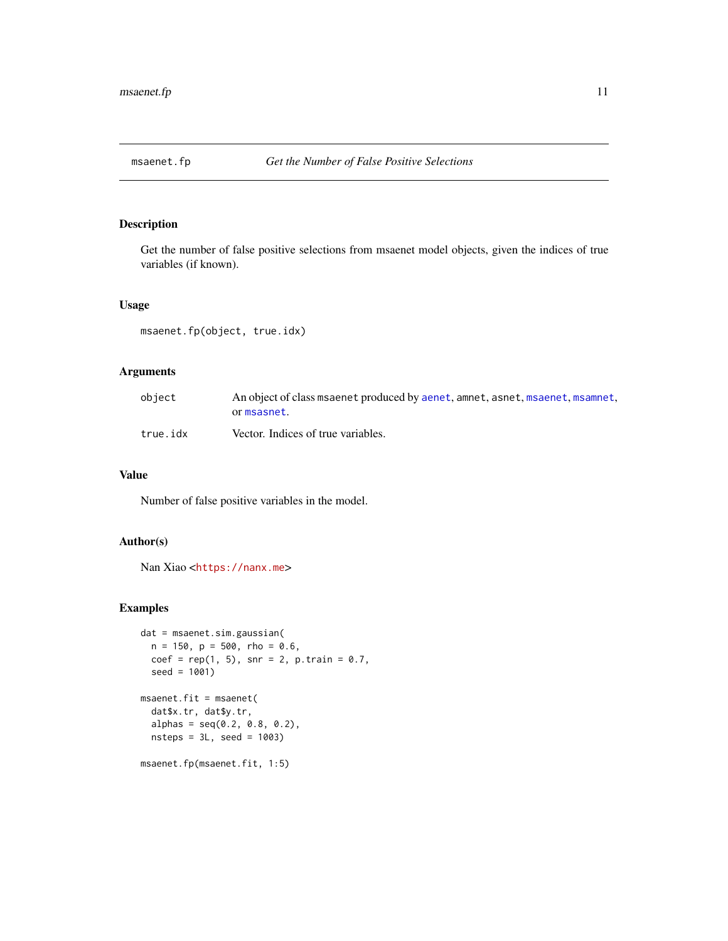<span id="page-10-0"></span>

Get the number of false positive selections from msaenet model objects, given the indices of true variables (if known).

### Usage

msaenet.fp(object, true.idx)

### Arguments

| obiect   | An object of class msaenet produced by aenet, amnet, asnet, msaenet, msamnet,<br>or msasnet. |
|----------|----------------------------------------------------------------------------------------------|
| true.idx | Vector. Indices of true variables.                                                           |

### Value

Number of false positive variables in the model.

### Author(s)

Nan Xiao <<https://nanx.me>>

```
dat = msaenet.sim.gaussian(
  n = 150, p = 500, rho = 0.6,
  coef = rep(1, 5), snr = 2, p.train = 0.7,seed = 1001)
msaenet.fit = msaenet(
  dat$x.tr, dat$y.tr,
  alpha = seq(0.2, 0.8, 0.2),
  nsteps = 3L, seed = 1003)
msaenet.fp(msaenet.fit, 1:5)
```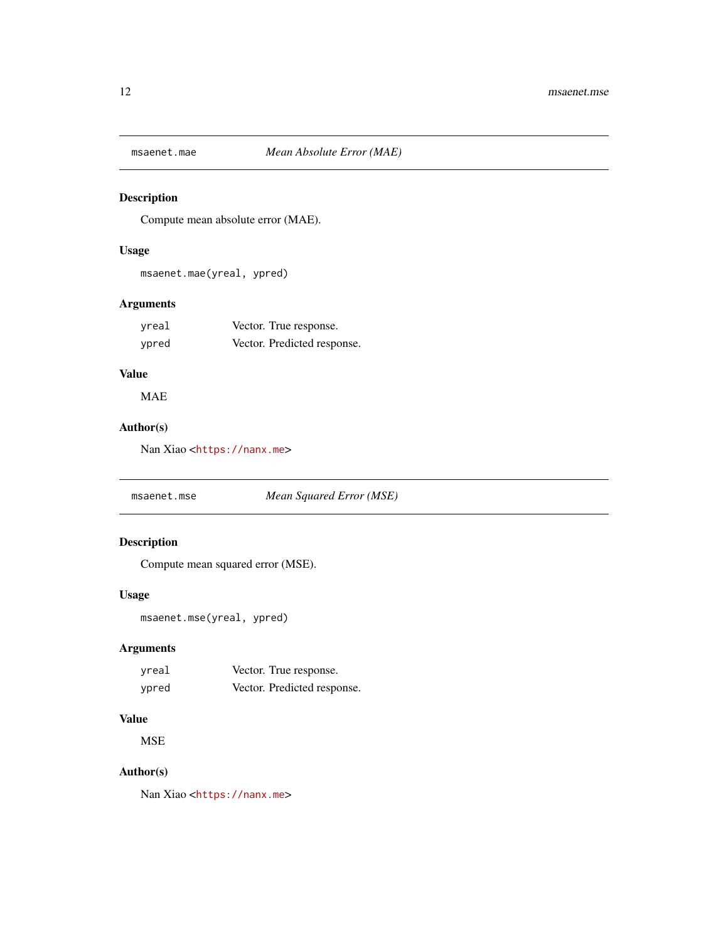<span id="page-11-0"></span>

Compute mean absolute error (MAE).

### Usage

msaenet.mae(yreal, ypred)

### Arguments

| yreal | Vector. True response.      |
|-------|-----------------------------|
| ypred | Vector. Predicted response. |

### Value

MAE

### Author(s)

Nan Xiao <<https://nanx.me>>

msaenet.mse *Mean Squared Error (MSE)*

### Description

Compute mean squared error (MSE).

### Usage

```
msaenet.mse(yreal, ypred)
```
### Arguments

| vreal | Vector. True response.      |
|-------|-----------------------------|
| ypred | Vector. Predicted response. |

### Value

**MSE** 

### Author(s)

Nan Xiao <<https://nanx.me>>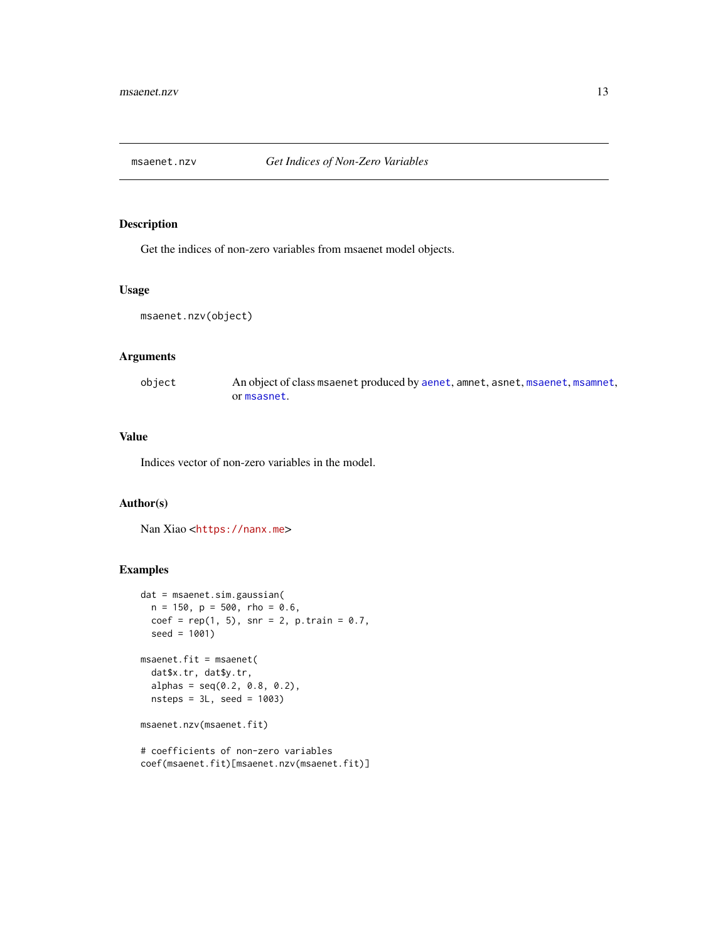<span id="page-12-0"></span>

Get the indices of non-zero variables from msaenet model objects.

### Usage

msaenet.nzv(object)

### Arguments

object An object of class msaenet produced by [aenet](#page-2-1), amnet, asnet, [msaenet](#page-7-1), [msamnet](#page-20-1), or [msasnet](#page-21-1).

### Value

Indices vector of non-zero variables in the model.

### Author(s)

Nan Xiao <<https://nanx.me>>

### Examples

```
dat = msaenet.sim.gaussian(
  n = 150, p = 500, rho = 0.6,
  coef = rep(1, 5), snr = 2, p.train = 0.7,seed = 1001)
msaenet.fit = msaenet(
  dat$x.tr, dat$y.tr,
  alpha = seq(0.2, 0.8, 0.2),
  nsteps = 3L, seed = 1003)
msaenet.nzv(msaenet.fit)
# coefficients of non-zero variables
```
coef(msaenet.fit)[msaenet.nzv(msaenet.fit)]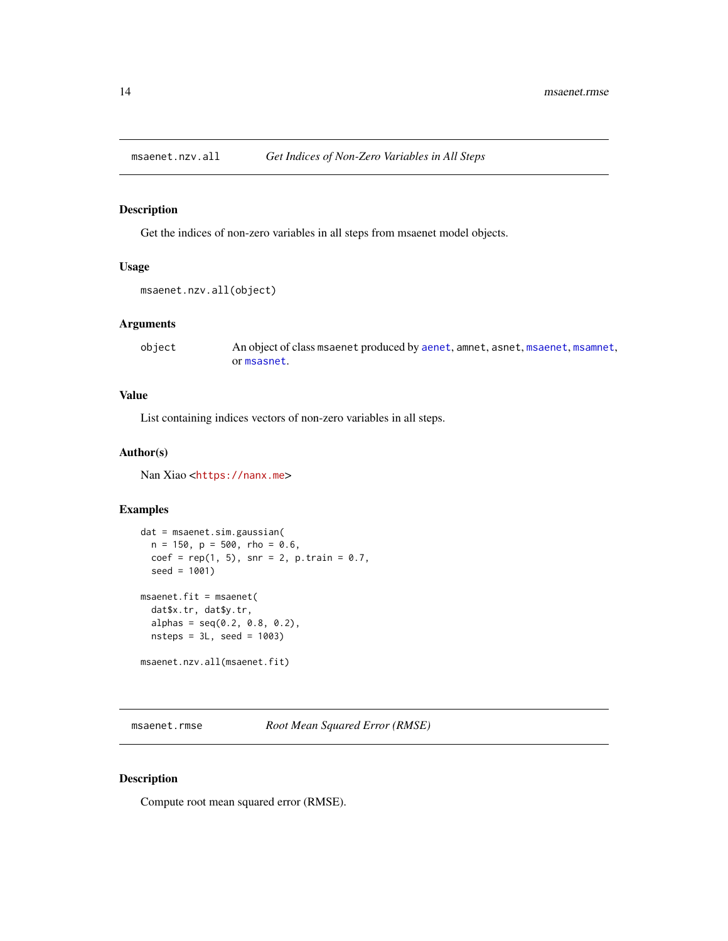<span id="page-13-0"></span>

Get the indices of non-zero variables in all steps from msaenet model objects.

### Usage

```
msaenet.nzv.all(object)
```
### Arguments

object An object of class msaenet produced by [aenet](#page-2-1), amnet, asnet, [msaenet](#page-7-1), [msamnet](#page-20-1), or [msasnet](#page-21-1).

#### Value

List containing indices vectors of non-zero variables in all steps.

### Author(s)

Nan Xiao <<https://nanx.me>>

### Examples

```
dat = msaenet.sim.gaussian(
  n = 150, p = 500, rho = 0.6,
  coef = rep(1, 5), snr = 2, p.train = 0.7,seed = 1001)
msaenet.fit = msaenet(
  dat$x.tr, dat$y.tr,
  alpha = seq(0.2, 0.8, 0.2),
  nsteps = 3L, seed = 1003)
msaenet.nzv.all(msaenet.fit)
```
msaenet.rmse *Root Mean Squared Error (RMSE)*

### Description

Compute root mean squared error (RMSE).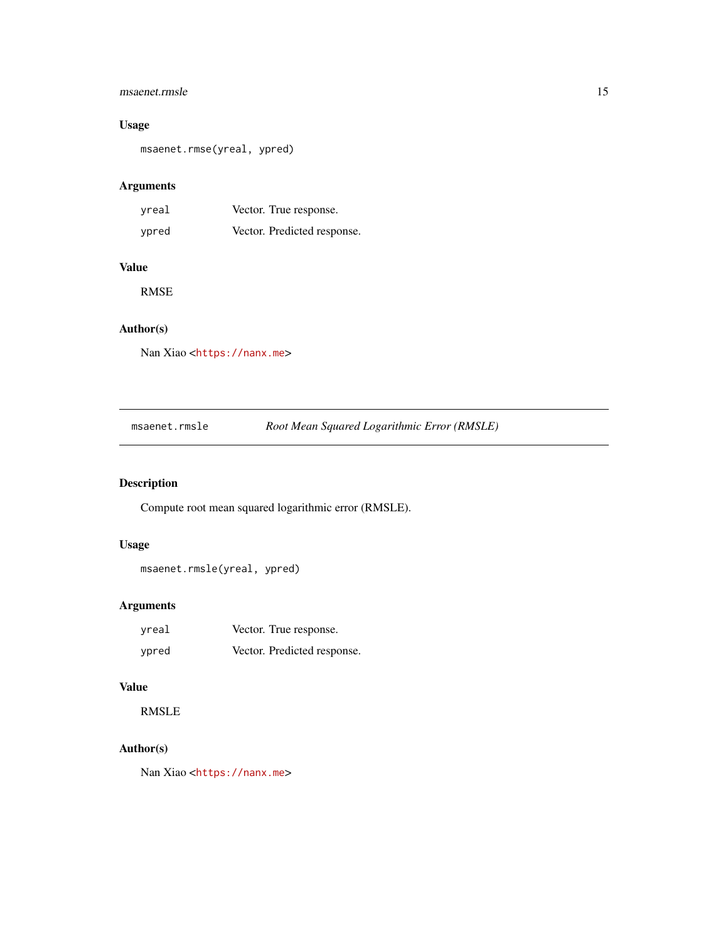### <span id="page-14-0"></span>msaenet.rmsle

### Usage

msaenet.rmse(yreal, ypred)

### Arguments

| yreal | Vector. True response.      |
|-------|-----------------------------|
| ypred | Vector. Predicted response. |

### Value

RMSE

### Author(s)

Nan Xiao <<https://nanx.me>>

| msaenet.rmsle | Root Mean Squared Logarithmic Error (RMSLE) |
|---------------|---------------------------------------------|
|---------------|---------------------------------------------|

### Description

Compute root mean squared logarithmic error (RMSLE).

### Usage

```
msaenet.rmsle(yreal, ypred)
```
### Arguments

| vreal | Vector. True response.      |
|-------|-----------------------------|
| vpred | Vector. Predicted response. |

### Value

RMSLE

### Author(s)

Nan Xiao <<https://nanx.me>>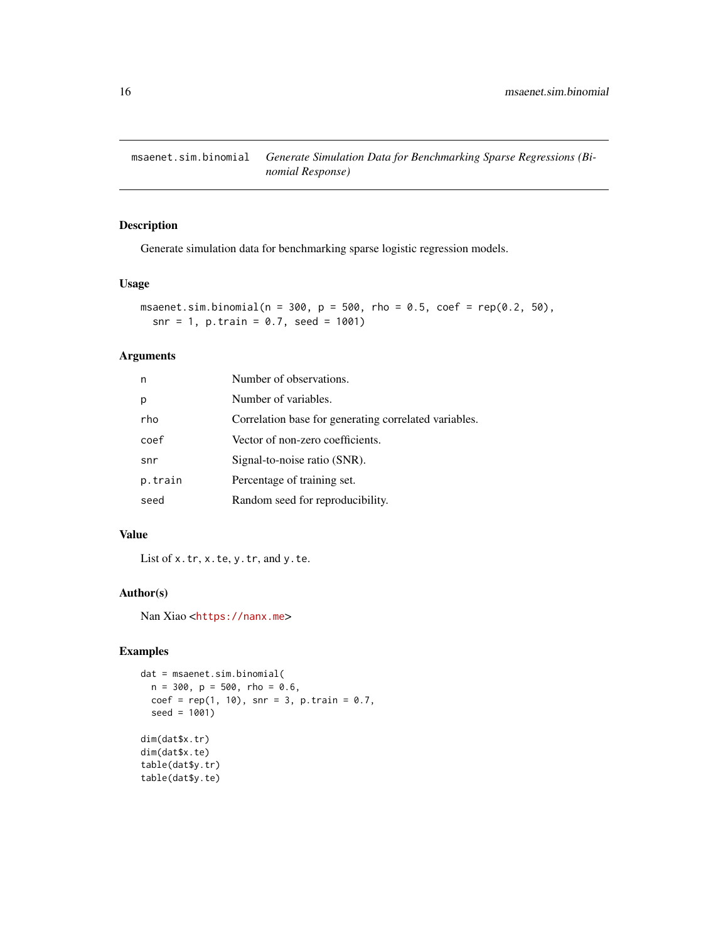<span id="page-15-0"></span>msaenet.sim.binomial *Generate Simulation Data for Benchmarking Sparse Regressions (Binomial Response)*

### Description

Generate simulation data for benchmarking sparse logistic regression models.

### Usage

```
msaenet.sim.binomial(n = 300, p = 500, rho = 0.5, coef = rep(0.2, 50),
  snr = 1, p.train = 0.7, seed = 1001)
```
### Arguments

| n       | Number of observations.                               |
|---------|-------------------------------------------------------|
| р       | Number of variables.                                  |
| rho     | Correlation base for generating correlated variables. |
| coef    | Vector of non-zero coefficients.                      |
| snr     | Signal-to-noise ratio (SNR).                          |
| p.train | Percentage of training set.                           |
| seed    | Random seed for reproducibility.                      |

### Value

List of x.tr, x.te, y.tr, and y.te.

### Author(s)

Nan Xiao <<https://nanx.me>>

```
dat = msaenet.sim.binomial(
 n = 300, p = 500, rho = 0.6,
  coef = rep(1, 10), snr = 3, p.train = 0.7,
  seed = 1001)
dim(dat$x.tr)
dim(dat$x.te)
table(dat$y.tr)
table(dat$y.te)
```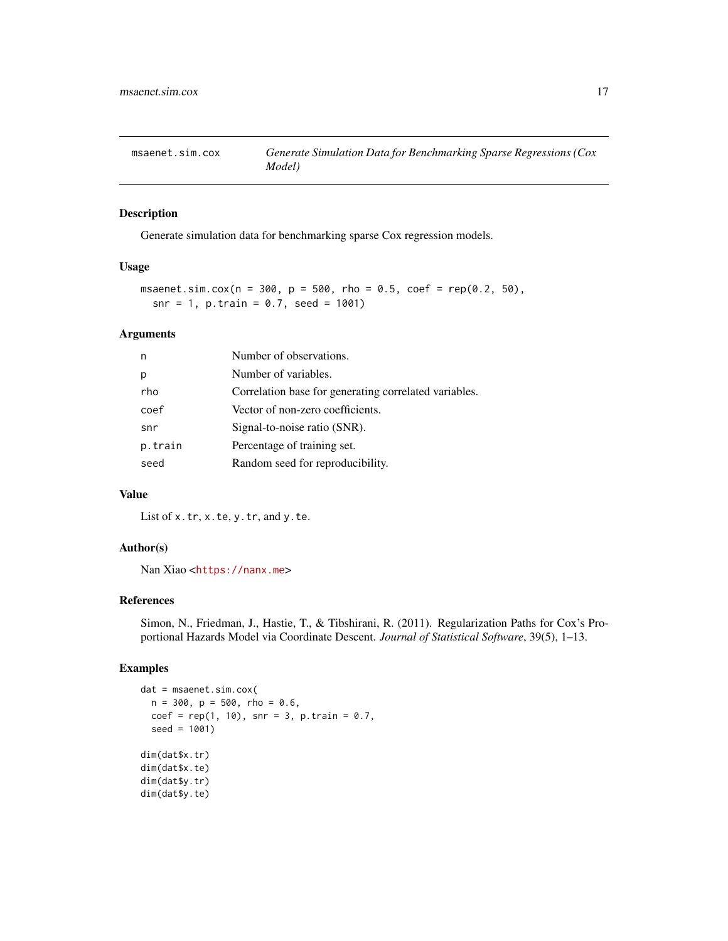<span id="page-16-0"></span>

Generate simulation data for benchmarking sparse Cox regression models.

### Usage

```
msaenet.sim.cox(n = 300, p = 500, rho = 0.5, coef = rep(0.2, 50),
  snr = 1, p.train = 0.7, seed = 1001)
```
### Arguments

| n       | Number of observations.                               |
|---------|-------------------------------------------------------|
| р       | Number of variables.                                  |
| rho     | Correlation base for generating correlated variables. |
| coef    | Vector of non-zero coefficients.                      |
| snr     | Signal-to-noise ratio (SNR).                          |
| p.train | Percentage of training set.                           |
| seed    | Random seed for reproducibility.                      |

### Value

List of x.tr, x.te, y.tr, and y.te.

### Author(s)

Nan Xiao <<https://nanx.me>>

### References

Simon, N., Friedman, J., Hastie, T., & Tibshirani, R. (2011). Regularization Paths for Cox's Proportional Hazards Model via Coordinate Descent. *Journal of Statistical Software*, 39(5), 1–13.

```
dat = msaenet.sim.cox(
  n = 300, p = 500, rho = 0.6,
  coef = rep(1, 10), snr = 3, p.train = 0.7,
  seed = 1001)
dim(dat$x.tr)
dim(dat$x.te)
dim(dat$y.tr)
dim(dat$y.te)
```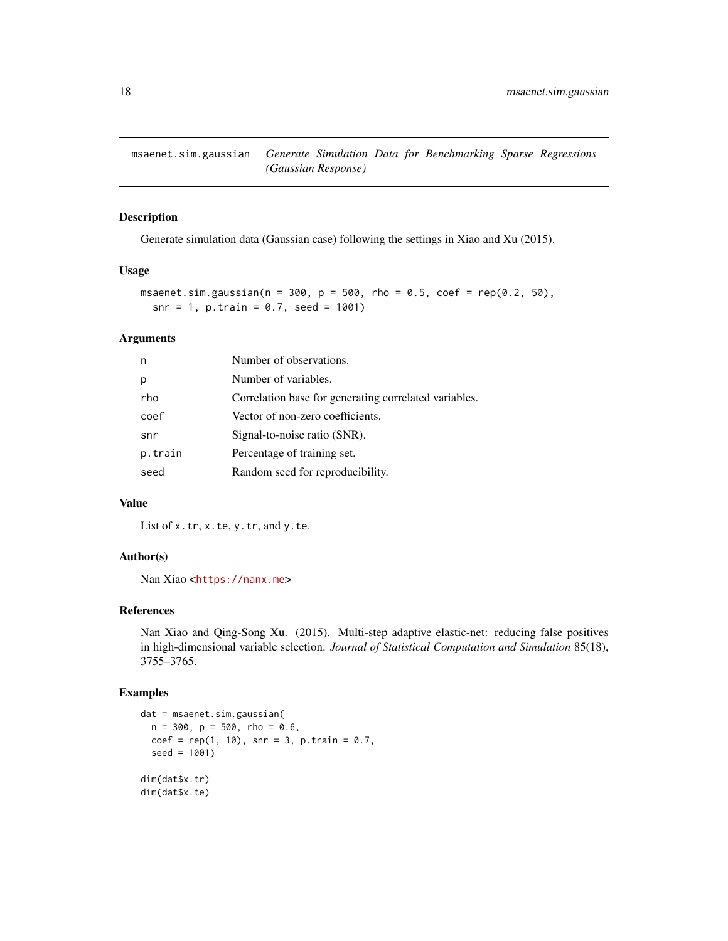<span id="page-17-0"></span>msaenet.sim.gaussian *Generate Simulation Data for Benchmarking Sparse Regressions (Gaussian Response)*

### Description

Generate simulation data (Gaussian case) following the settings in Xiao and Xu (2015).

#### Usage

```
msaenet.sim.gaussian(n = 300, p = 500, rho = 0.5, coef = rep(0.2, 50),
  snr = 1, p.train = 0.7, seed = 1001)
```
#### Arguments

| n       | Number of observations.                               |
|---------|-------------------------------------------------------|
| р       | Number of variables.                                  |
| rho     | Correlation base for generating correlated variables. |
| coef    | Vector of non-zero coefficients.                      |
| snr     | Signal-to-noise ratio (SNR).                          |
| p.train | Percentage of training set.                           |
| seed    | Random seed for reproducibility.                      |

### Value

List of x.tr, x.te, y.tr, and y.te.

### Author(s)

Nan Xiao <<https://nanx.me>>

### References

Nan Xiao and Qing-Song Xu. (2015). Multi-step adaptive elastic-net: reducing false positives in high-dimensional variable selection. *Journal of Statistical Computation and Simulation* 85(18), 3755–3765.

```
dat = msaenet.sim.gaussian(
  n = 300, p = 500, rho = 0.6,
  coef = rep(1, 10), snr = 3, p.train = 0.7,
  seed = 1001)
dim(dat$x.tr)
dim(dat$x.te)
```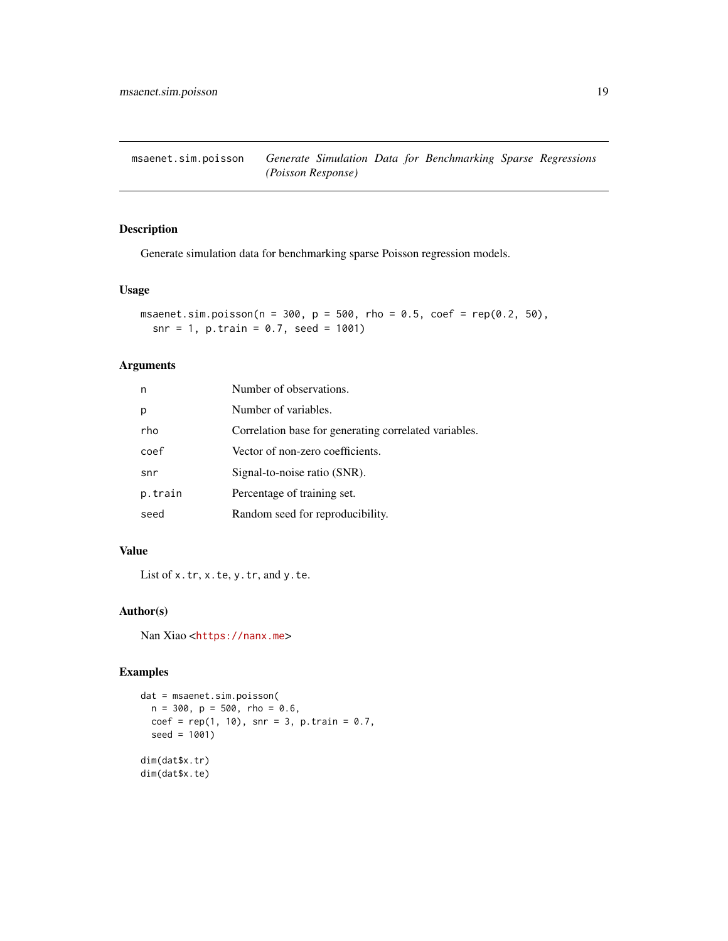<span id="page-18-0"></span>msaenet.sim.poisson *Generate Simulation Data for Benchmarking Sparse Regressions (Poisson Response)*

### Description

Generate simulation data for benchmarking sparse Poisson regression models.

### Usage

msaenet.sim.poisson(n =  $300$ , p =  $500$ , rho =  $0.5$ , coef = rep(0.2, 50),  $snr = 1$ , p.train = 0.7, seed = 1001)

### Arguments

| n       | Number of observations.                               |
|---------|-------------------------------------------------------|
| р       | Number of variables.                                  |
| rho     | Correlation base for generating correlated variables. |
| coef    | Vector of non-zero coefficients.                      |
| snr     | Signal-to-noise ratio (SNR).                          |
| p.train | Percentage of training set.                           |
| seed    | Random seed for reproducibility.                      |

### Value

List of x.tr, x.te, y.tr, and y.te.

### Author(s)

Nan Xiao <<https://nanx.me>>

```
dat = msaenet.sim.poisson(
  n = 300, p = 500, rho = 0.6,
  coef = rep(1, 10), snr = 3, p.train = 0.7,
  seed = 1001)
dim(dat$x.tr)
dim(dat$x.te)
```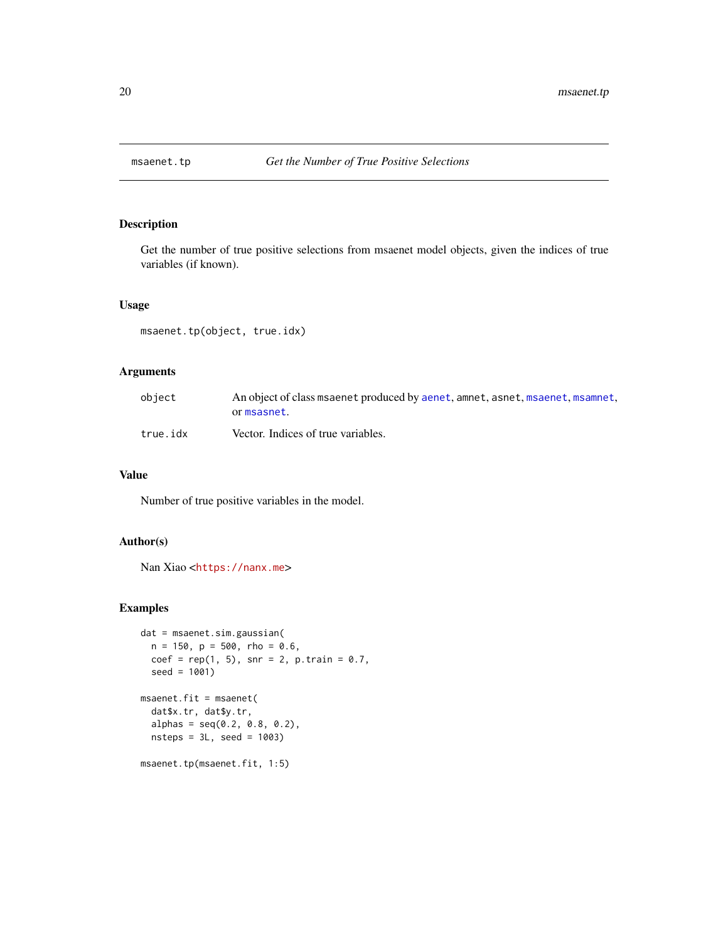<span id="page-19-0"></span>

Get the number of true positive selections from msaenet model objects, given the indices of true variables (if known).

### Usage

msaenet.tp(object, true.idx)

### Arguments

| obiect   | An object of class msaenet produced by aenet, amnet, asnet, msaenet, msamnet,<br>or msasnet. |
|----------|----------------------------------------------------------------------------------------------|
| true.idx | Vector. Indices of true variables.                                                           |

### Value

Number of true positive variables in the model.

### Author(s)

Nan Xiao <<https://nanx.me>>

```
dat = msaenet.sim.gaussian(
  n = 150, p = 500, rho = 0.6,
  coef = rep(1, 5), snr = 2, p.train = 0.7,seed = 1001)
msaenet.fit = msaenet(
  dat$x.tr, dat$y.tr,
  alpha = seq(0.2, 0.8, 0.2),
  nsteps = 3L, seed = 1003)
msaenet.tp(msaenet.fit, 1:5)
```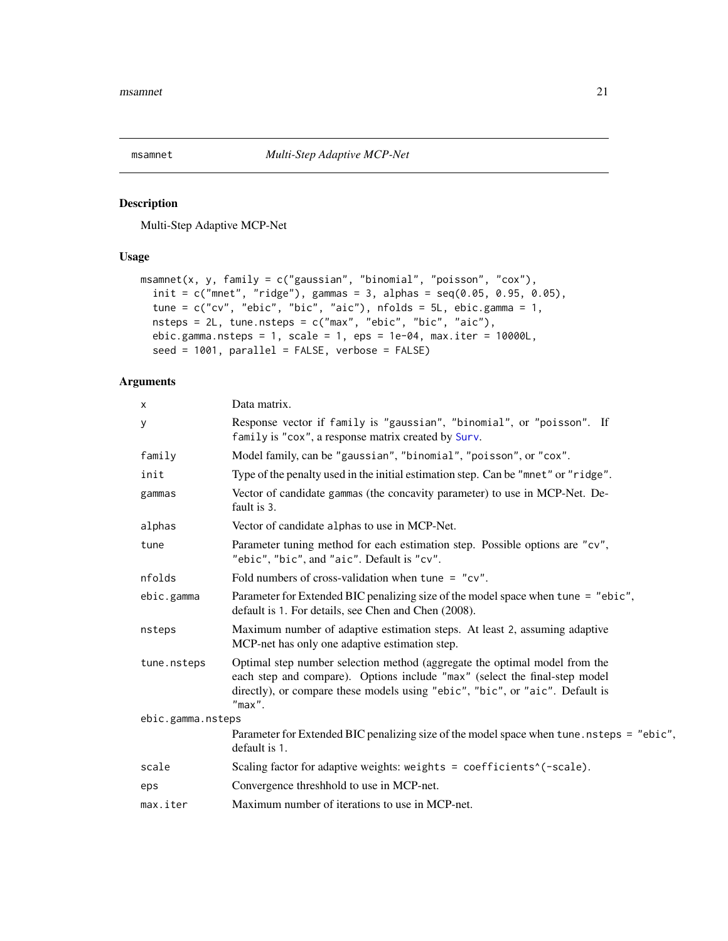<span id="page-20-1"></span><span id="page-20-0"></span>

Multi-Step Adaptive MCP-Net

### Usage

```
msamnet(x, y, family = c("gaussian", "binomial", "poisson", "cox"),
 init = c("mnet", "ridge"), gamma = 3, alpha = seq(0.05, 0.95, 0.05),tune = c("cv", "ebic", "bic", "aic"), nfolds = 5L, ebic.gamma = 1,
 nsteps = 2L, tune.nsteps = c("max", "ebic", "bic", "aic"),
 ebic.gamma.nsteps = 1, scale = 1, eps = 1e-04, max.iter = 10000L,
  seed = 1001, parallel = FALSE, verbose = FALSE)
```
### Arguments

| X                 | Data matrix.                                                                                                                                                                                                                                          |
|-------------------|-------------------------------------------------------------------------------------------------------------------------------------------------------------------------------------------------------------------------------------------------------|
| у                 | Response vector if family is "gaussian", "binomial", or "poisson". If<br>family is "cox", a response matrix created by Surv.                                                                                                                          |
| family            | Model family, can be "gaussian", "binomial", "poisson", or "cox".                                                                                                                                                                                     |
| init              | Type of the penalty used in the initial estimation step. Can be "mnet" or "ridge".                                                                                                                                                                    |
| gammas            | Vector of candidate gammas (the concavity parameter) to use in MCP-Net. De-<br>fault is 3.                                                                                                                                                            |
| alphas            | Vector of candidate alphas to use in MCP-Net.                                                                                                                                                                                                         |
| tune              | Parameter tuning method for each estimation step. Possible options are "cv",<br>"ebic", "bic", and "aic". Default is "cv".                                                                                                                            |
| nfolds            | Fold numbers of cross-validation when tune = $"cv"$ .                                                                                                                                                                                                 |
| ebic.gamma        | Parameter for Extended BIC penalizing size of the model space when tune = "ebic",<br>default is 1. For details, see Chen and Chen (2008).                                                                                                             |
| nsteps            | Maximum number of adaptive estimation steps. At least 2, assuming adaptive<br>MCP-net has only one adaptive estimation step.                                                                                                                          |
| tune.nsteps       | Optimal step number selection method (aggregate the optimal model from the<br>each step and compare). Options include "max" (select the final-step model<br>directly), or compare these models using "ebic", "bic", or "aic". Default is<br>$"max"$ . |
| ebic.gamma.nsteps |                                                                                                                                                                                                                                                       |
|                   | Parameter for Extended BIC penalizing size of the model space when tune . nsteps = "ebic",<br>default is 1.                                                                                                                                           |
| scale             | Scaling factor for adaptive weights: weights = coefficients <sup>^</sup> (-scale).                                                                                                                                                                    |
| eps               | Convergence threshhold to use in MCP-net.                                                                                                                                                                                                             |
| max.iter          | Maximum number of iterations to use in MCP-net.                                                                                                                                                                                                       |
|                   |                                                                                                                                                                                                                                                       |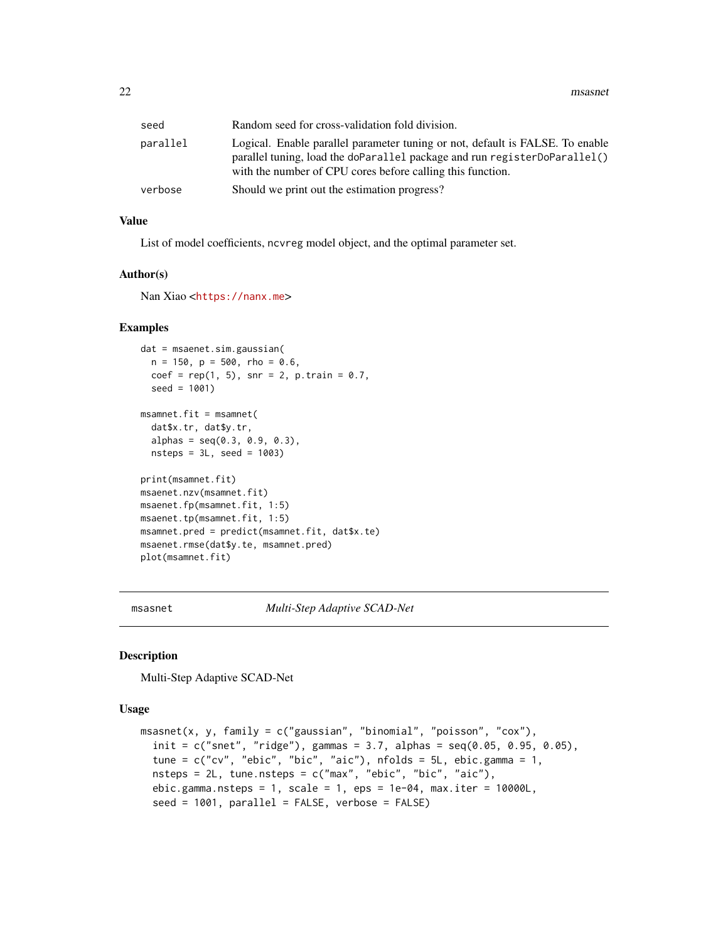<span id="page-21-0"></span>

| seed     | Random seed for cross-validation fold division.                                                                                                                                                                          |
|----------|--------------------------------------------------------------------------------------------------------------------------------------------------------------------------------------------------------------------------|
| parallel | Logical. Enable parallel parameter tuning or not, default is FALSE. To enable<br>parallel tuning, load the doParallel package and run registerDoParallel()<br>with the number of CPU cores before calling this function. |
| verbose  | Should we print out the estimation progress?                                                                                                                                                                             |

### Value

List of model coefficients, ncvreg model object, and the optimal parameter set.

### Author(s)

Nan Xiao <<https://nanx.me>>

#### Examples

```
dat = msaenet.sim.gaussian(
  n = 150, p = 500, rho = 0.6,
  coef = rep(1, 5), snr = 2, p.train = 0.7,seed = 1001)
msamnet.fit = msamnet(
  dat$x.tr, dat$y.tr,
  alpha = seq(0.3, 0.9, 0.3),
 nsteps = 3L, seed = 1003)
print(msamnet.fit)
msaenet.nzv(msamnet.fit)
msaenet.fp(msamnet.fit, 1:5)
msaenet.tp(msamnet.fit, 1:5)
msamnet.pred = predict(msamnet.fit, dat$x.te)
msaenet.rmse(dat$y.te, msamnet.pred)
plot(msamnet.fit)
```
<span id="page-21-1"></span>msasnet *Multi-Step Adaptive SCAD-Net*

#### Description

Multi-Step Adaptive SCAD-Net

#### Usage

```
msasnet(x, y, family = c("gaussian", "binomial", "poisson", "cox"),
  init = c("snet", "ridge"), gamma = 3.7, alphas = seq(0.05, 0.95, 0.05),tune = c("cv", "ebic", "bic", "aic"), nfolds = 5L, ebic.gamma = 1,nsteps = 2L, tune.nsteps = c("max", "ebic", "bic", "aic"),ebic.gamma.nsteps = 1, scale = 1, eps = 1e-04, max.iter = 10000L,
  seed = 1001, parallel = FALSE, verbose = FALSE)
```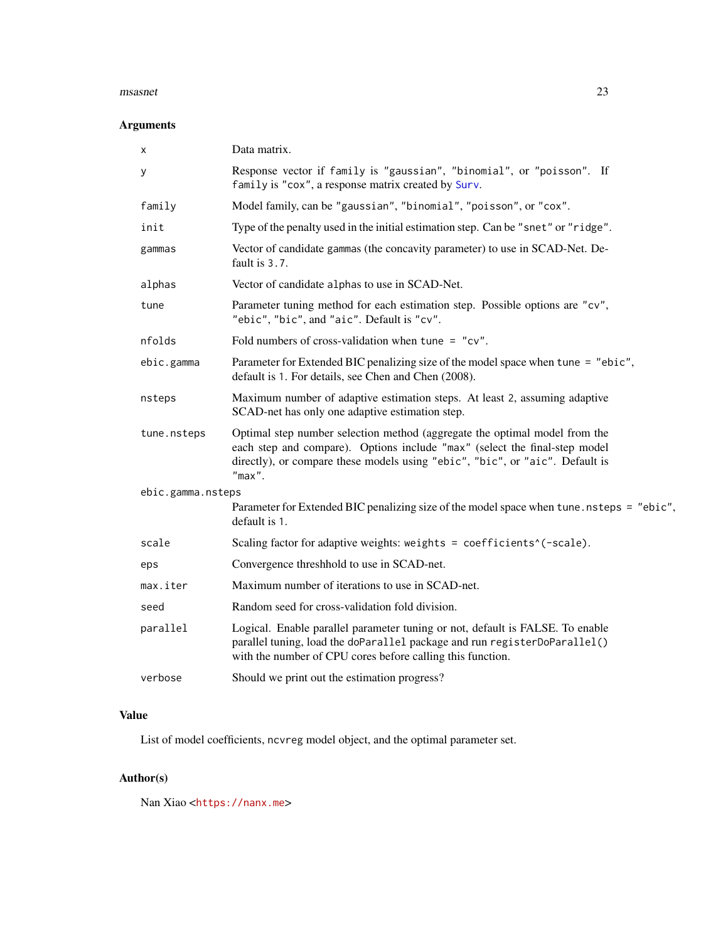#### <span id="page-22-0"></span>msasnet 23

### Arguments

| х                 | Data matrix.                                                                                                                                                                                                                                          |  |
|-------------------|-------------------------------------------------------------------------------------------------------------------------------------------------------------------------------------------------------------------------------------------------------|--|
| у                 | Response vector if family is "gaussian", "binomial", or "poisson". If<br>family is "cox", a response matrix created by Surv.                                                                                                                          |  |
| family            | Model family, can be "gaussian", "binomial", "poisson", or "cox".                                                                                                                                                                                     |  |
| init              | Type of the penalty used in the initial estimation step. Can be "snet" or "ridge".                                                                                                                                                                    |  |
| gammas            | Vector of candidate gammas (the concavity parameter) to use in SCAD-Net. De-<br>fault is 3.7.                                                                                                                                                         |  |
| alphas            | Vector of candidate alphas to use in SCAD-Net.                                                                                                                                                                                                        |  |
| tune              | Parameter tuning method for each estimation step. Possible options are "cv",<br>"ebic", "bic", and "aic". Default is "cv".                                                                                                                            |  |
| nfolds            | Fold numbers of cross-validation when tune = $"cv"$ .                                                                                                                                                                                                 |  |
| ebic.gamma        | Parameter for Extended BIC penalizing size of the model space when tune = "ebic",<br>default is 1. For details, see Chen and Chen (2008).                                                                                                             |  |
| nsteps            | Maximum number of adaptive estimation steps. At least 2, assuming adaptive<br>SCAD-net has only one adaptive estimation step.                                                                                                                         |  |
| tune.nsteps       | Optimal step number selection method (aggregate the optimal model from the<br>each step and compare). Options include "max" (select the final-step model<br>directly), or compare these models using "ebic", "bic", or "aic". Default is<br>$"max"$ . |  |
| ebic.gamma.nsteps |                                                                                                                                                                                                                                                       |  |
|                   | Parameter for Extended BIC penalizing size of the model space when tune . nsteps = "ebic",<br>default is 1.                                                                                                                                           |  |
| scale             | Scaling factor for adaptive weights: weights = coefficients^(-scale).                                                                                                                                                                                 |  |
| eps               | Convergence threshhold to use in SCAD-net.                                                                                                                                                                                                            |  |
| max.iter          | Maximum number of iterations to use in SCAD-net.                                                                                                                                                                                                      |  |
| seed              | Random seed for cross-validation fold division.                                                                                                                                                                                                       |  |
| parallel          | Logical. Enable parallel parameter tuning or not, default is FALSE. To enable<br>parallel tuning, load the doParallel package and run registerDoParallel()<br>with the number of CPU cores before calling this function.                              |  |
| verbose           | Should we print out the estimation progress?                                                                                                                                                                                                          |  |
|                   |                                                                                                                                                                                                                                                       |  |

### Value

List of model coefficients, ncvreg model object, and the optimal parameter set.

### Author(s)

Nan Xiao <<https://nanx.me>>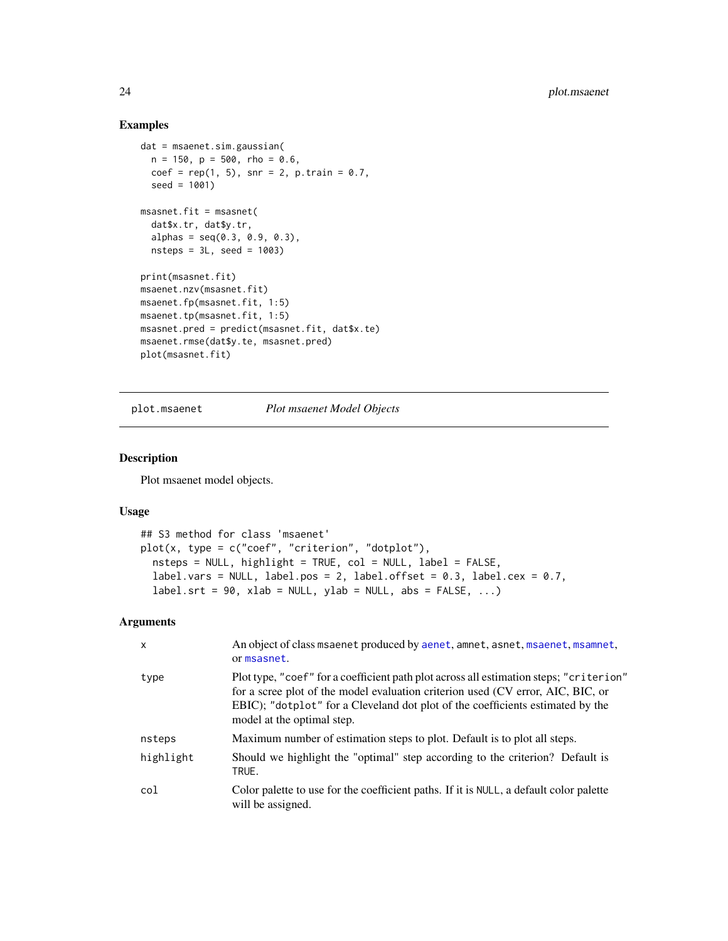### Examples

```
dat = msaenet.sim.gaussian(
 n = 150, p = 500, rho = 0.6,
  coef = rep(1, 5), snr = 2, p.train = 0.7,seed = 1001)
msasnet.fit = msasnet(
  dat$x.tr, dat$y.tr,
  alpha = seq(0.3, 0.9, 0.3),
  nsteps = 3L, seed = 1003)
print(msasnet.fit)
msaenet.nzv(msasnet.fit)
msaenet.fp(msasnet.fit, 1:5)
msaenet.tp(msasnet.fit, 1:5)
msasnet.pred = predict(msasnet.fit, dat$x.te)
msaenet.rmse(dat$y.te, msasnet.pred)
plot(msasnet.fit)
```
plot.msaenet *Plot msaenet Model Objects*

### Description

Plot msaenet model objects.

#### Usage

```
## S3 method for class 'msaenet'
plot(x, type = c("coef", "criterion", "dotplot"),nsteps = NULL, highlight = TRUE, col = NULL, label = FALSE,
  label.vars = NULL, label.pos = 2, label.offset = 0.3, label.cex = 0.7,
  label.srt = 90, xlab = NULL, ylab = NULL, abs = FALSE, ...
```
### Arguments

| $\mathsf{x}$ | An object of class msaenet produced by aenet, amnet, asnet, msaenet, msamnet,<br>or msasnet.                                                                                                                                                                                              |  |
|--------------|-------------------------------------------------------------------------------------------------------------------------------------------------------------------------------------------------------------------------------------------------------------------------------------------|--|
| type         | Plot type, "coef" for a coefficient path plot across all estimation steps; "criterion"<br>for a scree plot of the model evaluation criterion used (CV error, AIC, BIC, or<br>EBIC); "dotplot" for a Cleveland dot plot of the coefficients estimated by the<br>model at the optimal step. |  |
| nsteps       | Maximum number of estimation steps to plot. Default is to plot all steps.                                                                                                                                                                                                                 |  |
| highlight    | Should we highlight the "optimal" step according to the criterion? Default is<br>TRUE.                                                                                                                                                                                                    |  |
| col          | Color palette to use for the coefficient paths. If it is NULL, a default color palette<br>will be assigned.                                                                                                                                                                               |  |

<span id="page-23-0"></span>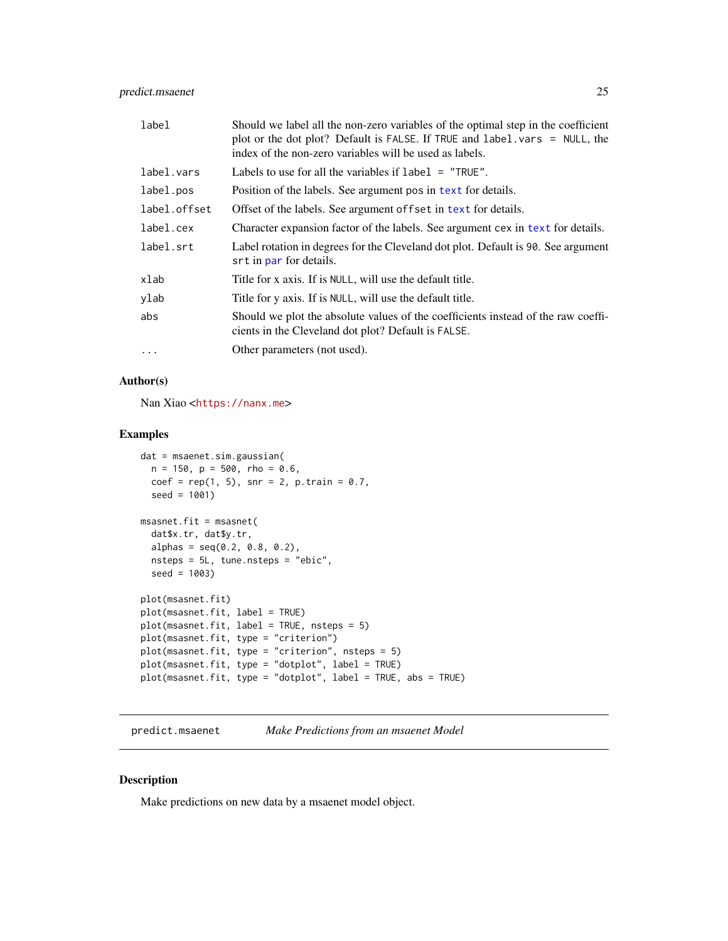### <span id="page-24-0"></span>predict.msaenet 25

| label        | Should we label all the non-zero variables of the optimal step in the coefficient<br>plot or the dot plot? Default is FALSE. If TRUE and label. vars = NULL, the<br>index of the non-zero variables will be used as labels. |  |
|--------------|-----------------------------------------------------------------------------------------------------------------------------------------------------------------------------------------------------------------------------|--|
| label.vars   | Labels to use for all the variables if $label = "TRUE".$                                                                                                                                                                    |  |
| label.pos    | Position of the labels. See argument pos in text for details.                                                                                                                                                               |  |
| label.offset | Offset of the labels. See argument of fset in text for details.                                                                                                                                                             |  |
| label.cex    | Character expansion factor of the labels. See argument cex in text for details.                                                                                                                                             |  |
| label.srt    | Label rotation in degrees for the Cleveland dot plot. Default is 90. See argument<br>srt in par for details.                                                                                                                |  |
| xlab         | Title for x axis. If is NULL, will use the default title.                                                                                                                                                                   |  |
| ylab         | Title for y axis. If is NULL, will use the default title.                                                                                                                                                                   |  |
| abs          | Should we plot the absolute values of the coefficients instead of the raw coeffi-<br>cients in the Cleveland dot plot? Default is FALSE.                                                                                    |  |
| $\cdots$     | Other parameters (not used).                                                                                                                                                                                                |  |

### Author(s)

Nan Xiao <<https://nanx.me>>

### Examples

```
dat = msaenet.sim.gaussian(
  n = 150, p = 500, rho = 0.6,
  coef = rep(1, 5), snr = 2, p.train = 0.7,seed = 1001)
msasnet.fit = msasnet(
  dat$x.tr, dat$y.tr,
  alpha = seq(0.2, 0.8, 0.2),
  nsteps = 5L, tune.nsteps = "ebic",
  seed = 1003)
plot(msasnet.fit)
plot(msasnet.fit, label = TRUE)
plot(msasnet.fit, label = TRUE, nsteps = 5)
plot(msasnet.fit, type = "criterion")
plot(msasnet.fit, type = "criterion", nsteps = 5)
plot(msasnet.fit, type = "dotplot", label = TRUE)
plot(msasnet.fit, type = "dotplot", label = TRUE, abs = TRUE)
```

```
predict.msaenet Make Predictions from an msaenet Model
```
### Description

Make predictions on new data by a msaenet model object.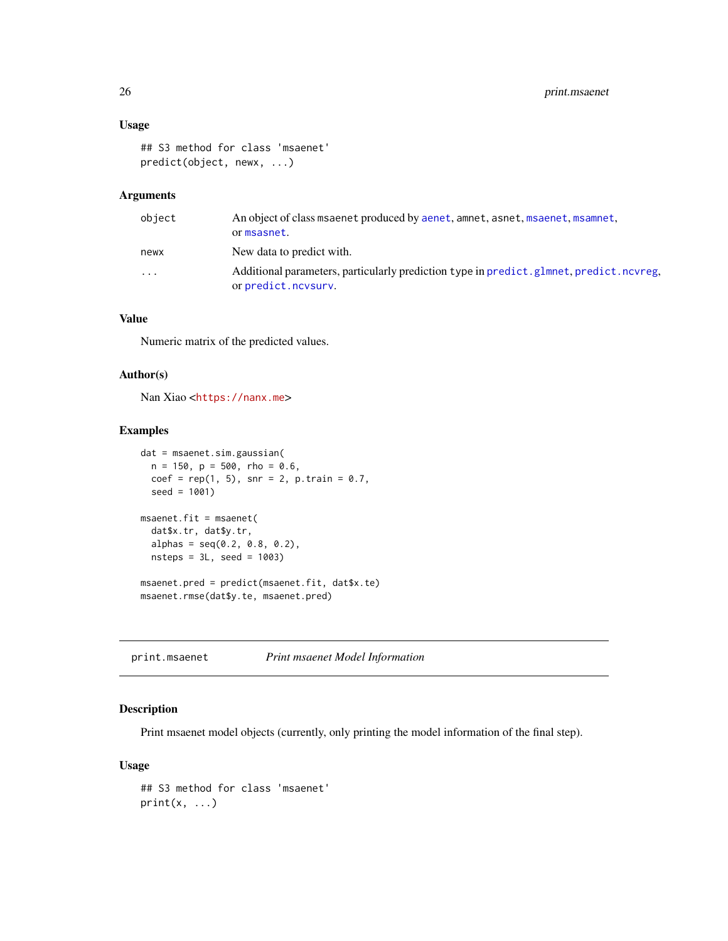### Usage

```
## S3 method for class 'msaenet'
predict(object, newx, ...)
```
### Arguments

| object    | An object of class msaenet produced by aenet, amnet, asnet, msaenet, msamnet,<br>or msasnet.                  |
|-----------|---------------------------------------------------------------------------------------------------------------|
| newx      | New data to predict with.                                                                                     |
| $\ddotsc$ | Additional parameters, particularly prediction type in predict.glmnet, predict.ncvreg,<br>or predict.ncvsurv. |

### Value

Numeric matrix of the predicted values.

### Author(s)

Nan Xiao <<https://nanx.me>>

### Examples

```
dat = msaenet.sim.gaussian(
 n = 150, p = 500, rho = 0.6,
  coef = rep(1, 5), snr = 2, p.train = 0.7,seed = 1001)
msaenet.fit = msaenet(
  dat$x.tr, dat$y.tr,
  alpha = seq(0.2, 0.8, 0.2),
  nsteps = 3L, seed = 1003)
msaenet.pred = predict(msaenet.fit, dat$x.te)
msaenet.rmse(dat$y.te, msaenet.pred)
```
print.msaenet *Print msaenet Model Information*

### Description

Print msaenet model objects (currently, only printing the model information of the final step).

### Usage

```
## S3 method for class 'msaenet'
print(x, \ldots)
```
<span id="page-25-0"></span>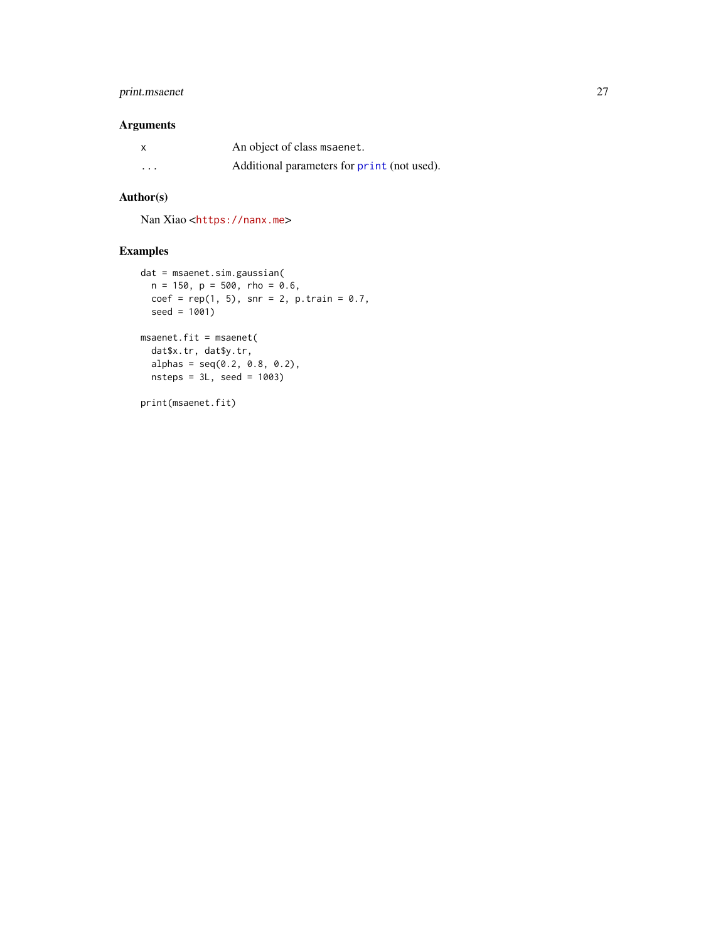### <span id="page-26-0"></span>print.msaenet 27

### Arguments

| x        | An object of class msaenet.                 |
|----------|---------------------------------------------|
| $\cdots$ | Additional parameters for print (not used). |

### Author(s)

Nan Xiao <<https://nanx.me>>

```
dat = msaenet.sim.gaussian(
 n = 150, p = 500, rho = 0.6,
 coef = rep(1, 5), snr = 2, p.train = 0.7,seed = 1001)
msaenet.fit = msaenet(
  dat$x.tr, dat$y.tr,
  alphas = seq(0.2, 0.8, 0.2),
  nsteps = 3L, seed = 1003)
print(msaenet.fit)
```